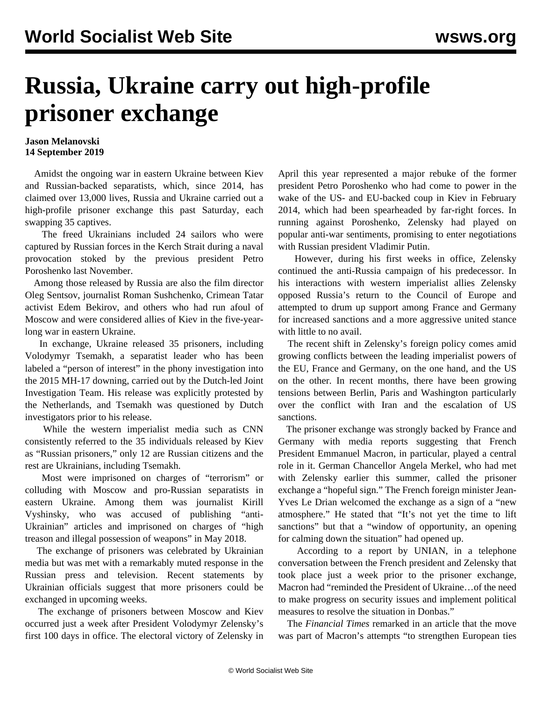## **Russia, Ukraine carry out high-profile prisoner exchange**

## **Jason Melanovski 14 September 2019**

 Amidst the ongoing war in eastern Ukraine between Kiev and Russian-backed separatists, which, since 2014, has claimed over 13,000 lives, Russia and Ukraine carried out a high-profile prisoner exchange this past Saturday, each swapping 35 captives.

 The freed Ukrainians included 24 sailors who were captured by Russian forces in the Kerch Strait during a naval provocation stoked by the previous president Petro Poroshenko last November.

 Among those released by Russia are also the film director Oleg Sentsov, journalist Roman Sushchenko, Crimean Tatar activist Edem Bekirov, and others who had run afoul of Moscow and were considered allies of Kiev in the five-yearlong war in eastern Ukraine.

 In exchange, Ukraine released 35 prisoners, including Volodymyr Tsemakh, a separatist leader who has been labeled a "person of interest" in the [phony investigation](/en/articles/2019/06/24/mh17-j24.html) into the 2015 MH-17 downing, carried out by the Dutch-led Joint Investigation Team. His release was explicitly protested by the Netherlands, and Tsemakh was questioned by Dutch investigators prior to his release.

 While the western imperialist media such as CNN consistently referred to the 35 individuals released by Kiev as "Russian prisoners," only 12 are Russian citizens and the rest are Ukrainians, including Tsemakh.

 Most were imprisoned on charges of "terrorism" or colluding with Moscow and pro-Russian separatists in eastern Ukraine. Among them was journalist Kirill Vyshinsky, who was accused of publishing "anti-Ukrainian" articles and imprisoned on charges of "high treason and illegal possession of weapons" in May 2018.

 The exchange of prisoners was celebrated by Ukrainian media but was met with a remarkably muted response in the Russian press and television. Recent statements by Ukrainian officials suggest that more prisoners could be exchanged in upcoming weeks.

 The exchange of prisoners between Moscow and Kiev occurred just a week after President Volodymyr Zelensky's first 100 days in office. The [electoral victory of Zelensky in](/en/articles/2019/04/25/pers-a25.html) [April](/en/articles/2019/04/25/pers-a25.html) this year represented a major rebuke of the former president Petro Poroshenko who had come to power in the wake of the US- and EU-backed coup in Kiev in February 2014, which had been spearheaded by far-right forces. In running against Poroshenko, Zelensky had played on popular anti-war sentiments, promising to enter negotiations with Russian president Vladimir Putin.

 However, during his first weeks in office, Zelensky [continued the anti-Russia campaign of his predecessor.](/en/articles/2019/05/02/ukra-m02.html) In his interactions with western imperialist allies Zelensky opposed Russia's return to the Council of Europe and attempted to drum up support among France and Germany for increased sanctions and a more aggressive united stance with little to no avail.

 The recent shift in Zelensky's foreign policy comes amid growing conflicts between the leading imperialist powers of the EU, France and Germany, on the one hand, and the US on the other. In recent months, there have been growing tensions between Berlin, Paris and Washington particularly over the conflict with Iran and the escalation of US sanctions.

 The prisoner exchange was strongly backed by France and Germany with media reports suggesting that French President Emmanuel Macron, in particular, played a central role in it. German Chancellor Angela Merkel, who had met with Zelensky earlier this summer, called the prisoner exchange a "hopeful sign." The French foreign minister Jean-Yves Le Drian welcomed the exchange as a sign of a "new atmosphere." He stated that "It's not yet the time to lift sanctions" but that a "window of opportunity, an opening for calming down the situation" had opened up.

 According to a report by UNIAN, in a telephone conversation between the French president and Zelensky that took place just a week prior to the prisoner exchange, Macron had "reminded the President of Ukraine…of the need to make progress on security issues and implement political measures to resolve the situation in Donbas."

 The *Financial Times* remarked in an article that the move was part of Macron's attempts "to strengthen European ties